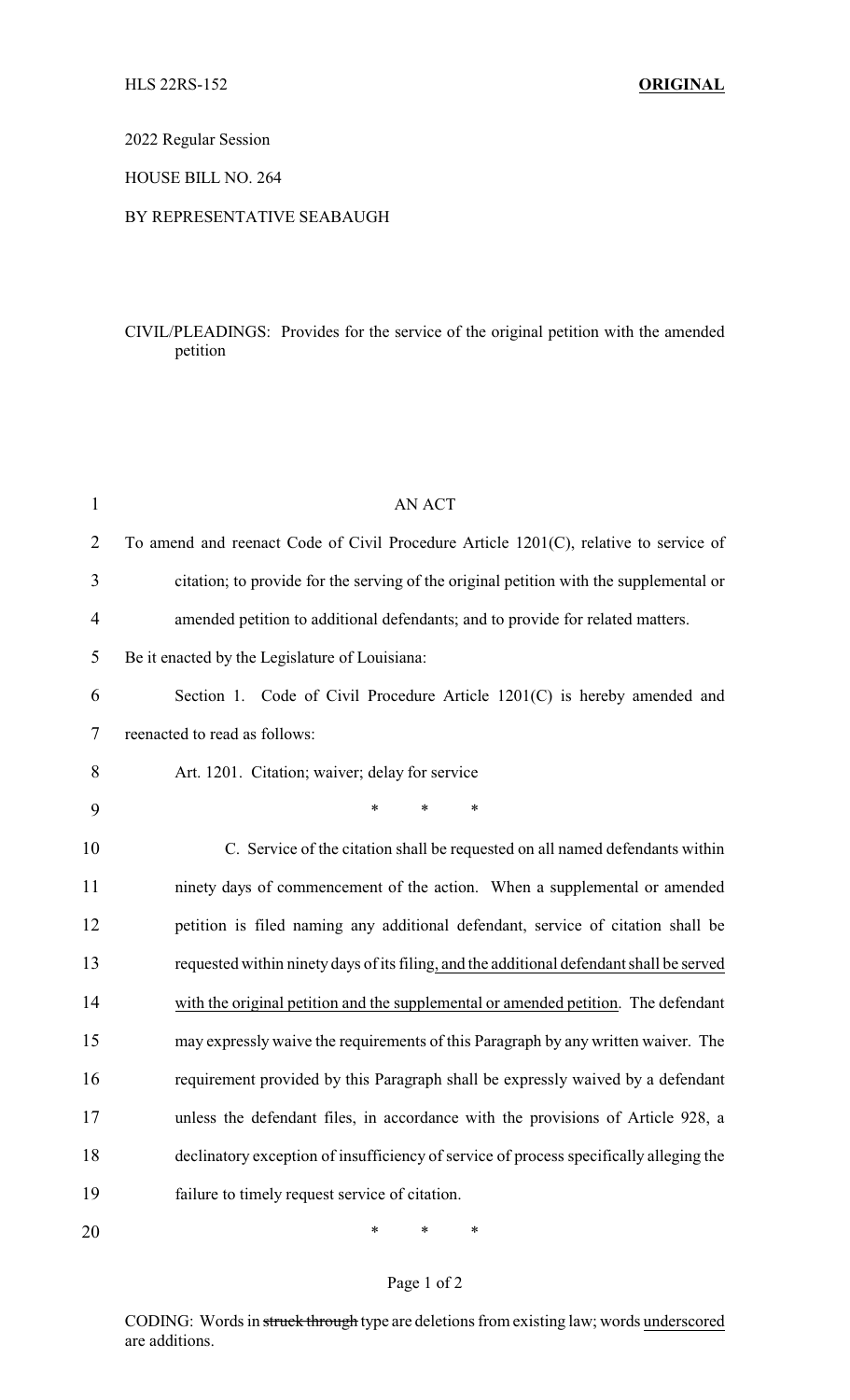### 2022 Regular Session

### HOUSE BILL NO. 264

#### BY REPRESENTATIVE SEABAUGH

## CIVIL/PLEADINGS: Provides for the service of the original petition with the amended petition

| $\mathbf{1}$   | <b>AN ACT</b>                                                                            |
|----------------|------------------------------------------------------------------------------------------|
| $\overline{2}$ | To amend and reenact Code of Civil Procedure Article 1201(C), relative to service of     |
| 3              | citation; to provide for the serving of the original petition with the supplemental or   |
| 4              | amended petition to additional defendants; and to provide for related matters.           |
| 5              | Be it enacted by the Legislature of Louisiana:                                           |
| 6              | Section 1. Code of Civil Procedure Article 1201(C) is hereby amended and                 |
| 7              | reenacted to read as follows:                                                            |
| 8              | Art. 1201. Citation; waiver; delay for service                                           |
| 9              | *<br>$\ast$<br>*                                                                         |
| 10             | C. Service of the citation shall be requested on all named defendants within             |
| 11             | ninety days of commencement of the action. When a supplemental or amended                |
| 12             | petition is filed naming any additional defendant, service of citation shall be          |
| 13             | requested within ninety days of its filing, and the additional defendant shall be served |
| 14             | with the original petition and the supplemental or amended petition. The defendant       |
| 15             | may expressly waive the requirements of this Paragraph by any written waiver. The        |
| 16             | requirement provided by this Paragraph shall be expressly waived by a defendant          |
| 17             | unless the defendant files, in accordance with the provisions of Article 928, a          |
| 18             | declinatory exception of insufficiency of service of process specifically alleging the   |
| 19             | failure to timely request service of citation.                                           |
| 20             | *<br>∗<br>∗                                                                              |

# Page 1 of 2

CODING: Words in struck through type are deletions from existing law; words underscored are additions.